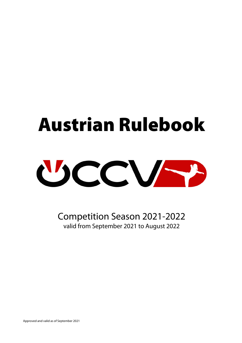# Austrian Rulebook



Competition Season 2021-2022 valid from September 2021 to August 2022

Approved and valid as of September 2021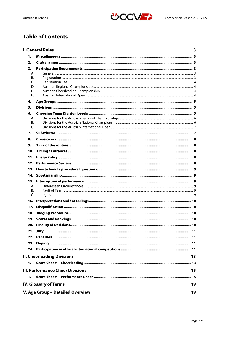

# **Table of Contents**

|                                        | <b>I. General Rules</b>                 | 3  |  |  |
|----------------------------------------|-----------------------------------------|----|--|--|
| 1.                                     |                                         |    |  |  |
| 2.                                     |                                         |    |  |  |
| 3.                                     |                                         |    |  |  |
| А.                                     |                                         |    |  |  |
| В.                                     |                                         |    |  |  |
| C.<br>D.                               |                                         |    |  |  |
| F.                                     |                                         |    |  |  |
| F.                                     |                                         |    |  |  |
| 4.                                     |                                         |    |  |  |
| 5.                                     |                                         |    |  |  |
| 6.                                     |                                         |    |  |  |
| А.                                     |                                         |    |  |  |
| В.<br>C.                               |                                         |    |  |  |
|                                        |                                         |    |  |  |
| 7.                                     |                                         |    |  |  |
| 8.                                     |                                         |    |  |  |
| 9.                                     |                                         |    |  |  |
| 10.                                    |                                         |    |  |  |
| 11.                                    |                                         |    |  |  |
| 12.                                    |                                         |    |  |  |
| 13.                                    |                                         |    |  |  |
| 14.                                    |                                         |    |  |  |
| 15.                                    |                                         |    |  |  |
| А.                                     |                                         |    |  |  |
| В.<br>C.                               |                                         |    |  |  |
| 16.                                    |                                         |    |  |  |
| 17.                                    |                                         |    |  |  |
| 18.                                    |                                         |    |  |  |
|                                        |                                         |    |  |  |
|                                        |                                         |    |  |  |
|                                        |                                         |    |  |  |
|                                        |                                         |    |  |  |
| 23.                                    |                                         |    |  |  |
|                                        |                                         |    |  |  |
|                                        |                                         |    |  |  |
|                                        | <b>II. Cheerleading Divisions</b>       | 13 |  |  |
| 1.                                     |                                         |    |  |  |
|                                        | <b>III. Performance Cheer Divisions</b> | 15 |  |  |
| 1.                                     |                                         |    |  |  |
| <b>IV. Glossary of Terms</b><br>19     |                                         |    |  |  |
|                                        |                                         |    |  |  |
| V. Age Group - Detailed Overview<br>19 |                                         |    |  |  |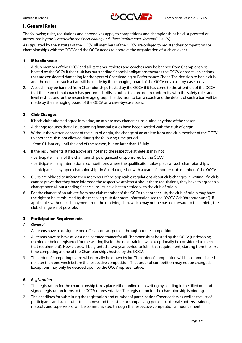

# **I. General Rules**

The following rules, regulations and appendixes apply to competitions and championships held, supported or authorized by the "*Österreichische Cheerleading und Cheer Performance Verband*" (ÖCCV).

As stipulated by the statutes of the ÖCCV, all members of the ÖCCV are obliged to register their competitions or championships with the ÖCCV and the ÖCCV needs to approve the organization of such an event.

#### 1. Miscellaneous

- 1. A club member of the ÖCCV and all its teams, athletes and coaches may be banned from Championships hosted by the ÖCCV if that club has outstanding financial obligations towards the ÖCCV or has taken actions that are considered damaging for the sport of Cheerleading or Performance Cheer. The decision to ban a club and the details of such a ban will be made by the managing board of the ÖCCV on a case-by-case basis.
- 2. A coach may be banned from Championships hosted by the ÖCCV if it has come to the attention of the ÖCCV that the team of that coach has performed skills in public that are not in conformity with the safety rules and level restrictions for the respective age group. The decision to ban a coach and the details of such a ban will be made by the managing board of the ÖCCV on a case-by-case basis.

# 2. Club Changes

- 1. If both clubs affected agree in writing, an athlete may change clubs during any time of the season.
- 2. A change requires that all outstanding financial issues have beeen settled with the club of origin.
- 3. Without the written consent of the club of origin, the change of an athlete from one club member of the ÖCCV to another club is not allowed during the following time period :

- from 01 January until the end of the season, but no later than 15 July.

- 4. If the requirements stated above are not met, the respective athlete(s) may not
	- participate in any of the championships organized or sponsored by the ÖCCV,
	- participate in any international competitions where the qualification takes place at such championships,
	- participate in any open championships in Austria together with a team of another club member of the ÖCCV.
- 5. Clubs are obliged to inform their members of the applicable regulations about club changes in writing. If a club cannot prove that they have informed the respective athlete(s) about these regulations, they have to agree to a change once all outstanding financial issues have beeen settled with the club of origin.
- 6. For the change of an athlete from one club member of the ÖCCV to another club, the club of origin may have the right to be reimbursed by the receiving club (for more information see the "ÖCCV Gebührenordnung"). If applicable, without such payment from the receiving club, which may not be passed forward to the athlete, the club change is not possible.

#### 3. Participation Requirements

#### *A. General*

- 1. All teams have to designate one official contact person throughout the competition.
- 2. All teams have to have at least one certified trainer for all Championships hosted by the ÖCCV (undergoing training or being registered for the waiting list for the next training will exceptionally be considered to meet that requirement). New clubs will be granted a two-year period to fulfill this requirement, starting from the first time competing at one of the Championships hosted by the ÖCCV.
- 3. The order of competing teams will normally be drawn by lot. The order of competition will be communicated no later than one week before the respective competition. That order of competition may not be changed. Exceptions may only be decided upon by the ÖCCV representative.

#### *B. Registration*

- 1. The registration for the championship takes place either online or in writing by sending in the filled out and signed registration forms to the ÖCCV representative. The registration for the championship is binding.
- 2. The deadlines for submitting the registration and number of participating Cheerleaders as well as the list of participants and substitutes (full names) and the list for accompanying persons (external spotters, trainers, mascots and supervisors) will be communicated through the respective competition announcement.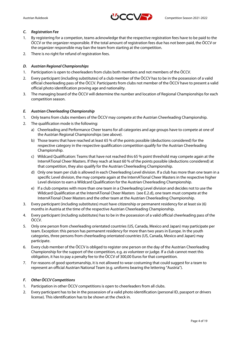

#### *C. Registration Fee*

- 1. By registering for a competion, teams acknowledge that the respective registration fees have to be paid to the ÖCCV or the organizer responsible. If the total amount of registration fees due has not been paid, the ÖCCV or the organizer responsible may ban the team from starting at the competition.
- 2. There is no right for refund of registration fees.

#### *D. Austrian Regional Championships*

- 1. Participation is open to cheerleaders from clubs both members and not members of the ÖCCV.
- 2. Every participant (including substitutes) of a club member of the ÖCCV has to be in the possession of a valid official cheerleading pass of the ÖCCV. Participants from clubs not member of the ÖCCV have to present a valid official photo identification proving age and nationality.
- 3. The managing board of the ÖCCV will determine the number and location of Regional Championships for each competition season.

#### *E. Austrian Cheerleading Championship*

- 1. Only teams from clubs members of the ÖCCV may compete at the Austrian Cheerleading Championship.
- 2. The qualification mode is the following:
	- a) Cheerleading and Performance Cheer teams for all categories and age groups have to compete at one of the Austrian Regional Championships (see above).
	- b) Those teams that have reached at least 65 % of the points possible (deductions considered) for the respective category in the respective qualification competition qualify for the Austrian Cheerleading Championship.
	- c) Wildcard Qualification: Teams that have not reached this 65 % point threshold may compete again at the InternATional Cheer Masters. If they reach at least 60 % of the points possible (deductions considered) at that competition, they also qualify for the Austrian Cheerleading Championship.
	- d) Only one team per club is allowed in each Cheerleading Level division. If a club has more than one team in a specific Level division, the may compete again at the InternATional Cheer Masters in the respective higher Level division to earn a Wildcard Qualification for the Austrian Cheerleading Championship.
	- e) If a club competes with more than one team in a Cheerleading Level division and decides not to use the Wildcard Qualification at the InternATional Cheer Masters (see E.2.d), one team must compete at the InternATional Cheer Masters and the other team at the Austrian Cheerleading Championship.
- 3. Every participant (including substitutes) must have citizenship or permanent residency for at least six (6) months in Austria at the time of the respective Austrian Cheerleading Championship.
- 4. Every participant (including substitutes) has to be in the possession of a valid official cheerleading pass of the ÖCCV.
- 5. Only one person from cheerleading orientated countries (US, Canada, Mexico and Japan) may participate per team. Exception: this person has permanent residency for more than two years in Europe. In the youth categories, three persons from cheerleading orientated countries (US, Canada, Mexico and Japan) may participate.
- 6. Every club member of the ÖCCV is obliged to register one person on the day of the Austrian Cheerleading Championship for the support of the competition, e.g. as volunteer or judge. If a club cannot meet this obligation, it has to pay a penalty fee to the ÖCCV of 300,00 Euros for that competition.
- 7. For reasons of good sportsmanship, it is not allowed to wear costuming that could suggest for a team to represent an official Austrian National Team (e.g. uniforms bearing the lettering "Austria").

#### *F. Other ÖCCV Competitions*

- 1. Participation in other ÖCCV competitions is open to cheerleaders from all clubs.
- 2. Every participant has to be in the possession of a valid photo identification (personal ID, passport or drivers license). This identification has to be shown at the check in.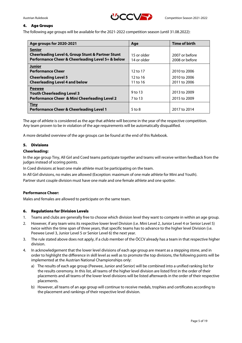

#### 4. Age Groups

The following age groups will be available for the 2021-2022 competition season (until 31.08.2022):

| Age groups for 2020-2021                                     | Age          | <b>Time of birth</b> |
|--------------------------------------------------------------|--------------|----------------------|
| <b>Senior</b>                                                |              |                      |
| <b>Cheerleading Level 6, Group Stunt &amp; Partner Stunt</b> | 15 or older  | 2007 or before       |
| Performance Cheer & Cheerleading Level 5+ & below            | 14 or older  | 2008 or before       |
| <b>Junior</b>                                                |              |                      |
| <b>Performance Cheer</b>                                     | $12$ to $17$ | 2010 to 2006         |
| <b>Cheerleading Level 5</b>                                  | $12$ to $16$ | 2010 to 2006         |
| <b>Cheerleading Level 4 and below</b>                        | $11$ to $16$ | 2011 to 2006         |
| <b>Peewee</b>                                                |              |                      |
| <b>Youth Cheerleading Level 3</b>                            | 9 to 13      | 2013 to 2009         |
| <b>Performance Cheer &amp; Mini Cheerleading Level 2</b>     | 7 to 13      | 2015 to 2009         |
| <b>Tiny</b>                                                  |              |                      |
| <b>Performance Cheer &amp; Cheerleading Level 1</b>          | $5$ to $8$   | 2017 to 2014         |

The age of athlete is considered as the age that athlete will become in the year of the respective competition. Any team proven to be in violation of the age requirements will be automatically disqualified.

A more detailed overview of the age groups can be found at the end of this Rulebook.

#### 5. Divisions

#### **Cheerleading:**

In the age group Tiny, All Girl and Coed teams participate together and teams will receive written feedback from the judges instead of scoring points.

In Coed divisions at least one male athlete must be participating on the team.

In All Girl divisions, no males are allowed (Exception: maximum of one male athlete for Mini and Youth).

Partner stunt couple division must have one male and one female athlete and one spotter.

#### **Performance Cheer:**

Males and females are allowed to participate on the same team.

#### 6. Regulations for Division Levels

- 1. Teams and clubs are generally free to choose which division level they want to compete in within an age group.
- 2. However, if any team wins its respective lower level Division (i.e. Mini Level 2, Junior Level 4 or Senior Level 5) twice within the time span of three years, that specific teams has to advance to the higher level Division (i.e. Peewee Level 3, Junior Level 5 or Senior Level 6) the next year.
- 3. The rule stated above does not apply, if a club member of the ÖCCV already has a team in that respective higher division.
- 4. In acknowledgement that the lower level divisions of each age group are meant as a stepping stone, and in order to highlight the difference in skill level as well as to promote the top divisions, the following points will be implemented at the Austrian National Championships only:
	- a) The results of each age group (Peewee, Junior and Senior) will be combined into a unified ranking list for the results ceremony. In this list, all teams of the higher level division are listed first in the order of their placements and all teams of the lower level divisions will be listed afterwards in the order of their respective placements.
	- b) However, all teams of an age group will continue to receive medals, trophies and certificates according to the placement and rankings of their respective level division.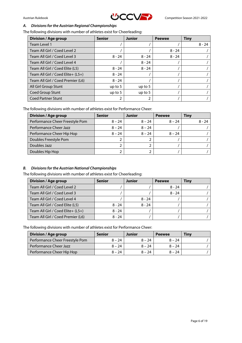

#### *A. Divisions for the Austrian Regional Championships*

The following divisions with number of athletes exist for Cheerleading:

| <b>Division / Age group</b>       | <b>Senior</b> | <b>Junior</b> | <b>Peewee</b> | Tiny     |
|-----------------------------------|---------------|---------------|---------------|----------|
| Team Level 1                      |               |               |               | $8 - 24$ |
| Team All Girl / Coed Level 2      |               |               | $8 - 24$      |          |
| Team All Girl / Coed Level 3      | $8 - 24$      | $8 - 24$      | $8 - 24$      |          |
| Team All Girl / Coed Level 4      |               | $8 - 24$      |               |          |
| Team All Girl / Coed Elite (L5)   | $8 - 24$      | $8 - 24$      |               |          |
| Team All Girl / Coed Elite+ (L5+) | $8 - 24$      |               |               |          |
| Team All Girl / Coed Premier (L6) | $8 - 24$      |               |               |          |
| All Girl Group Stunt              | up to $5$     | up to $5$     |               |          |
| Coed Group Stunt                  | up to $5$     | up to $5$     |               |          |
| <b>Coed Partner Stunt</b>         | 2             | 2             |               |          |

The following divisions with number of athletes exist for Performance Cheer:

| <b>Division / Age group</b>     | <b>Senior</b> | <b>Junior</b> | <b>Peewee</b> | <b>Tiny</b> |
|---------------------------------|---------------|---------------|---------------|-------------|
| Performance Cheer Freestyle Pom | $8 - 24$      | $8 - 24$      | $8 - 24$      | $8 - 24$    |
| Performance Cheer Jazz          | $8 - 24$      | $8 - 24$      |               |             |
| Performance Cheer Hip Hop       | $8 - 24$      | $8 - 24$      | $8 - 24$      |             |
| Doubles Freestyle Pom           |               |               |               |             |
| Doubles Jazz                    |               |               |               |             |
| Doubles Hip Hop                 |               |               |               |             |

#### *B. Divisions for the Austrian National Championships*

The following divisions with number of athletes exist for Cheerleading:

| <b>Division / Age group</b>       | <b>Senior</b> | Junior   | <b>Peewee</b> | Tiny |
|-----------------------------------|---------------|----------|---------------|------|
| Team All Girl / Coed Level 2      |               |          | $8 - 24$      |      |
| Team All Girl / Coed Level 3      |               |          | $8 - 24$      |      |
| Team All Girl / Coed Level 4      |               | $8 - 24$ |               |      |
| Team All Girl / Coed Elite (L5)   | $8 - 24$      | $8 - 24$ |               |      |
| Team All Girl / Coed Elite+ (L5+) | $8 - 24$      |          |               |      |
| Team All Girl / Coed Premier (L6) | $8 - 24$      |          |               |      |

The following divisions with number of athletes exist for Performance Cheer:

| <b>Division / Age group</b>     | <b>Senior</b> | Junior   | <b>Peewee</b> | <b>Tiny</b> |
|---------------------------------|---------------|----------|---------------|-------------|
| Performance Cheer Freestyle Pom | $8 - 24$      | $8 - 24$ | $8 - 24$      |             |
| Performance Cheer Jazz          | $8 - 24$      | $8 - 24$ | $8 - 24$      |             |
| Performance Cheer Hip Hop       | $8 - 24$      | $8 - 24$ | $8 - 24$      |             |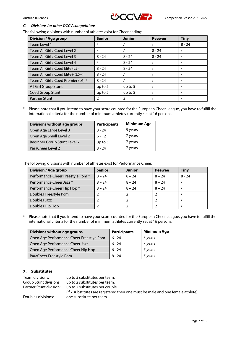

#### *C. Divisions for other ÖCCV competitions*

The following divisions with number of athletes exist for Cheerleading:

| <b>Division / Age group</b>         | <b>Senior</b> | <b>Junior</b> | <b>Peewee</b> | <b>Tiny</b> |
|-------------------------------------|---------------|---------------|---------------|-------------|
| Team Level 1                        |               |               |               | $8 - 24$    |
| Team All Girl / Coed Level 2        |               |               | $8 - 24$      |             |
| Team All Girl / Coed Level 3        | $8 - 24$      | $8 - 24$      | $8 - 24$      |             |
| Team All Girl / Coed Level 4        |               | $8 - 24$      |               |             |
| Team All Girl / Coed Elite (L5)     | $8 - 24$      | $8 - 24$      |               |             |
| Team All Girl / Coed Elite+ (L5+)   | $8 - 24$      |               |               |             |
| Team All Girl / Coed Premier (L6) * | $8 - 24$      |               |               |             |
| All Girl Group Stunt                | up to $5$     | up to $5$     |               |             |
| <b>Coed Group Stunt</b>             | up to $5$     | up to $5$     |               |             |
| <b>Partner Stunt</b>                |               | 2             |               |             |

\* Please note that if you intend to have your score counted for the European Cheer League, you have to fulfill the international criteria for the number of minimum athletes currently set at 16 persons.

| <b>Divisions without age groups</b> | <b>Participants</b> | <b>Minimum Age</b> |
|-------------------------------------|---------------------|--------------------|
| Open Age Large Level 3              | $8 - 24$            | 9 years            |
| Open Age Small Level 2              | $6 - 12$            | 7 years            |
| Beginner Group Stunt Level 2        | up to $5$           | 7 years            |
| ParaCheer Level 2                   | 8 - 24              | 7 years            |

The following divisions with number of athletes exist for Performance Cheer:

| Division / Age group             | <b>Senior</b> | <b>Junior</b> | <b>Peewee</b> | <b>Tiny</b> |
|----------------------------------|---------------|---------------|---------------|-------------|
| Performance Cheer Freestyle Pom* | $8 - 24$      | $8 - 24$      | $8 - 24$      | $8 - 24$    |
| Performance Cheer Jazz *         | $8 - 24$      | $8 - 24$      | $8 - 24$      |             |
| Performance Cheer Hip Hop *      | $8 - 24$      | $8 - 24$      | $8 - 24$      |             |
| Doubles Freestyle Pom            |               |               |               |             |
| Doubles Jazz                     |               |               |               |             |
| Doubles Hip Hop                  |               |               |               |             |

\* Please note that if you intend to have your score counted for the European Cheer League, you have to fulfill the international criteria for the number of minimum athletes currently set at 16 persons.

| <b>Divisions without age groups</b>      | <b>Participants</b> | <b>Minimum Age</b> |
|------------------------------------------|---------------------|--------------------|
| Open Age Performance Cheer Freestlye Pom | $6 - 24$            | 7 years            |
| Open Age Performance Cheer Jazz          | $6 - 24$            | 7 years            |
| Open Age Performance Cheer Hip Hop       | $6 - 24$            | 7 years            |
| ParaCheer Freestyle Pom                  | 8 - 24              | 7 years            |

# 7. Substitutes

| Team divisions:         | up to 5 substitutes per team.                                                   |
|-------------------------|---------------------------------------------------------------------------------|
| Group Stunt divisions:  | up to 2 substitutes per team.                                                   |
| Partner Stunt division: | up to 2 substitutes per couple                                                  |
|                         | (if 2 substitutes are registered then one must be male and one female athlete). |
| Doubles divisions:      | one substitute per team.                                                        |
|                         |                                                                                 |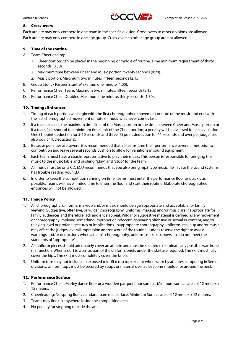

#### 8. Cross-overs

Each athlete may only compete in one team in the specific division. Cross-overs to other divisions are allowed. Each athlete may only compete in one age group. Cross-overs to other age group are not allowed.

#### 9. Time of the routine

- A. Team Cheerleading:
	- 1. Cheer portion: can be placed in the beginning or middle of routine. Time minimum requirement of thirty seconds (0:30).
	- 2. Maximum time between Cheer and Music portion: twenty seconds (0:20).
	- 2. Music portion: Maximum two minutes, fifteen seconds (2:15).
- B. Group Stunt / Partner Stunt: Maximum one minute (1:00).
- C. Performance Cheer Team: Maximum two minutes, fifteen seconds (2:15).
- D. Performance Cheer Doubles: Maximum one minute, thirty seconds (1:30).

#### 10. Timing / Entrances

- 1. Timing of each portion will begin with the first choreographed movement or note of the music and end with the last choreographed movement or note of music whichever comes last.
- 2. If a team exceeds the maximum time limit of the Music portion or the time between Cheer and Music portion or if a team falls short of the minimum time limit of the Cheer portion, a penalty will be assessed for each violation. One (1) point deduction for 5-10 seconds and three (3) point deduction for 11 seconds and over per judge (see also point 14. Deductions).
- 3. Because penalties are severe, it is recommended that all teams time their performance several times prior to competition and leave several seconds cushion to allow for variations in sound equipment.
- 4. Each team must have a coach/representative to play their music. This person is responsible for bringing the music to the music table and pushing "play" and "stop" for the team.
- 5. All music must be on a CD. ECU recommends that you also bring mp3 type music file in case the sound systems has trouble reading your CD.
- 6. In order to keep the competition running on time, teams must enter the performance floor as quickly as possible. Teams will have limited time to enter the floor and start their routine. Elaborate choreographed entrances will not be allowed.

#### 11. Image Policy

- 1. All choreography, uniforms, makeup and/or music should be age appropriate and acceptable for family viewing. Suggestive, offensive, or vulgar choreography, uniforms, makeup and/or music are inappropriate for family audiences and therefore lack audience appeal. Vulgar or suggestive material is defined as any movement or choreography implying something improper or indecent, appearing offensive or sexual in content, and/or relaying lewd or profane gestures or implications. Inappropriate choreography, uniforms, makeup and/or music may affect the judges' overall impression and/or score of the routine. Judges reserve the right to assess warnings and/or deductions when a team's choreography, uniform, make up, bows etc. do not meet the standards of 'appropriate'.
- 2. All uniform pieces should adequately cover an athlete and must be secured to eliminate any possible wardrobe malfunction. When a skirt is worn as part of the uniform, briefs under the skirt are required. The skirt must fully cover the hips. The skirt must completely cover the briefs.
- 3. Uniform tops may not include an exposed midriff (crop top) except when worn by athletes competing in Senior divisions. Uniform tops must be secured by straps or material over at least one shoulder or around the neck.

## 12. Performance Surface

- 1. Performance Cheer: Marley dance floor or a wooden parquet floor surface. Minimum surface area of 12 meters x 12 meters.
- 2. Cheerleading: No spring floor, standard foam mat surface. Minimum Surface area of 12 meters x 12 meters.
- 3. Teams may line up anywhere inside the competition area.
- 4. No penalty for stepping outside the area.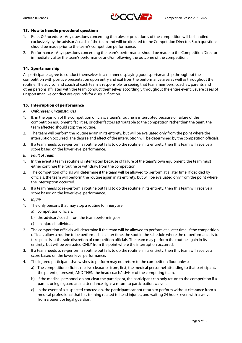

#### 13. How to handle procedural questions

- 1. Rules & Procedure Any questions concerning the rules or procedures of the competition will be handled exclusively by the advisor / coach of the team and will be directed to the Competition Director. Such questions should be made prior to the team's competition performance.
- 2. Performance Any questions concerning the team's performance should be made to the Competition Director immediately after the team's performance and/or following the outcome of the competition.

#### 14. Sportsmanship

All participants agree to conduct themselves in a manner displaying good sportsmanship throughout the competition with positive presentation upon entry and exit from the performance area as well as throughout the routine. The advisor and coach of each team is responsible for seeing that team members, coaches, parents and other persons affiliated with the team conduct themselves accordingly throughout the entire event. Severe cases of unsportsmanlike conduct are grounds for disqualification.

#### 15. Interruption of performance

#### *A. Unforeseen Circumstances*

- 1. If, in the opinion of the competition officials, a team's routine is interrupted because of failure of the competition equipment, facilities, or other factors attributable to the competition rather than the team, the team affected should stop the routine.
- 2. The team will perform the routine again in its entirety, but will be evaluated only from the point where the interruption occurred. The degree and effect of the interruption will be determined by the competition officials.
- 3. If a team needs to re-perform a routine but fails to do the routine in its entirety, then this team will receive a score based on the lower level performance.

#### *B. Fault of Team*

- 1. In the event a team's routine is interrupted because of failure of the team's own equipment, the team must either continue the routine or withdraw from the competition.
- 2. The competition officials will determine if the team will be allowed to perform at a later time. If decided by officials, the team will perform the routine again in its entirety, but will be evaluated only from the point where the interruption occurred.
- 3. If a team needs to re-perform a routine but fails to do the routine in its entirety, then this team will receive a score based on the lower level performance.

#### *C. Injury*

- 1. The only persons that may stop a routine for injury are:
	- a) competition officials,
	- b) the advisor / coach from the team performing, or
	- c) an injured individual.
- 2. The competition officials will determine if the team will be allowed to perform at a later time. If the competition officials allow a routine to be performed at a later time, the spot in the schedule where the re-performance is to take place is at the sole discretion of competition officials. The team may perform the routine again in its entirety, but will be evaluated ONLY from the point where the interruption occurred.
- 3. If a team needs to re-perform a routine but fails to do the routine in its entirety, then this team will receive a score based on the lower level performance.
- 4. The injured participant that wishes to perform may not return to the competition floor unless:
	- a) The competition officials receive clearance from, first, the medical personnel attending to that participant, the parent (if present) AND THEN the head coach/advisor of the competing team.
	- b) If the medical personnel do not clear the participant, the participant can only return to the competition if a parent or legal guardian in attendance signs a return to participation waiver.
	- c) In the event of a suspected concussion, the participant cannot return to perform without clearance from a medical professional that has training related to head injuries, and waiting 24 hours, even with a waiver from a parent or legal guardian.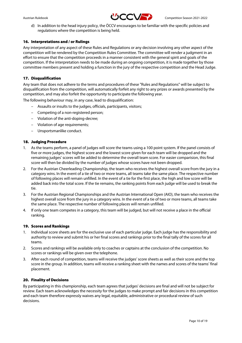

d) In addition to the head injury policy, the ÖCCV encourages to be familiar with the specific policies and regulations where the competition is being held.

#### 16. Interpretations and / or Rulings

Any interpretation of any aspect of these Rules and Regulations or any decision involving any other aspect of the competition will be rendered by the Competition Rules Committee. The committee will render a judgment in an effort to ensure that the competition proceeds in a manner consistent with the general spirit and goals of the competition. If the interpretation needs to be made during an ongoing competition, it is made together by those committee members present and holding a function in the jury of the respective competition and the Head Judge.

#### 17. Disqualification

Any team that does not adhere to the terms and procedures of these "Rules and Regulations" will be subject to disqualification from the competition, will automatically forfeit any right to any prizes or awards presented by the competition, and may also forfeit the opportunity to participate the following year.

The following behaviour may, in any case, lead to disqualification:

- Assaults or insults to the judges, officials, participants, visitors;
- Competing of a non-registered person;
- Violation of the anti-doping-decree;
- Violation of age requirements;
- Unsportsmanlike conduct.

#### 18. Judging Procedure

- 1. As the teams perform, a panel of judges will score the teams using a 100 point system. If the panel consists of five or more judges, the highest score and the lowest score given for each team will be dropped and the remaining judges' scores will be added to determine the overall team score. For easier comparision, this final score will then be divided by the number of judges whose scores have not been dropped.
- 2. For the Austrian Cheerleading Championship, the team who receives the highest overall score from the jury in a category wins. In the event of a tie of two or more teams, all teams take the same place. The respective number of following places will remain unfilled. In the event of a tie for the first place, the high and low score will be added back into the total score. If the tie remains, the ranking points from each judge will be used to break the tie.
- 3. For the Austrian Regional Championships and the Austrian International Open (AIO), the team who receives the highest overall score from the jury in a category wins. In the event of a tie of two or more teams, all teams take the same place. The respective number of following places will remain unfilled.
- 4. If only one team competes in a category, this team will be judged, but will not receive a place in the official ranking.

#### 19. Scores and Rankings

- 1. Individual score sheets are for the exclusive use of each particular judge. Each judge has the responsibility and authority to review and submit his or her final scores and rankings prior to the final tally of the scores for all teams.
- 2. Scores and rankings will be available only to coaches or captains at the conclusion of the competition. No scores or rankings will be given over the telephone.
- 3. After each round of competition, teams will receive the judges' score sheets as well as their score and the top score in the group. In addition, teams will receive a ranking sheet with the names and scores of the teams' final placement.

#### 20. Finality of Decisions

By participating in this championship, each team agrees that judges' decisions are final and will not be subject for review. Each team acknowledges the necessity for the judges to make prompt and fair decisions in this competition and each team therefore expressly waives any legal, equitable, administrative or procedural review of such decisions.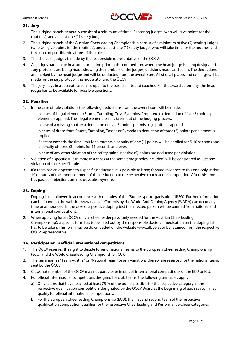

#### 21. Jury

- 1. The judging panels generally consist of a minimum of three (3) scoring judges (who will give points for the routines), and at least one (1) safety judge.
- 2. The judging panels of the Austrian Cheerleading Championship consist of a minimum of five (5) scoring judges (who will give points for the routines), and at least one (1) safety judge (who will take time for the routines and take note of possible violations of the rules).
- 3. The choice of judges is made by the responsible representative of the ÖCCV.
- 4. All judges participate in a judges meeting prior to the competition, where the head judge is being designated. Jury protocols are being made showing the numbers of the judges, decisions made and so on. The deductions are marked by the head judge and will be deducted from the overall sum. A list of all places and rankings will be made for the jury protocol, the moderator and the ÖCCV.
- 5. The jury stays in a separate area, not open to the participants and coaches. For the award ceremony, the head judge has to be available for possible questions.

#### 22. Penalties

- 1. In the case of rule violations the following deductions from the overall sum will be made:
	- In cases of illegal elements (Stunts, Tumbling, Toss, Pyramids, Props, etc.) a deduction of five (5) points per element is applied. The illegal element itself is taken out of the judging process.
	- In case of a missing spotter a deduction of five (5) points per missing spotter is applied.
	- In cases of drops from Stunts, Tumbling, Tosses or Pyramids a deduction of three (3) points per element is applied.
	- If a team exceeds the time limit for a routine, a penalty of one (1) points will be applied for 5-10 seconds and a penalty of three (3) points for 11 seconds and over.
	- In case of any other violation of the safety guidelines five (5) points are deducted per violation.
- 2. Violation of a specific rule in more instances at the same time (ripples included) will be considered as just one violation of that specific rule.
- 3. If a team has an objection to a specific deduction, it is possible to bring forward evidence to this end only within 10 minutes of the announcement of the deduction to the respective coach at the competition. After this time has passed, objections are not possible anymore.

#### 23. Doping

- 1. Doping is not allowed in accordance with the rules of the "Bundessportorganisation" (BSO). Further information can be found on the website www.nada.at. Controls by the World Anti-Doping Agency (WADA) can occur any time unannounced. In the case of a positive doping test the affected person will be banned from national and international competitions.
- 2. When applying for an ÖCCV official cheerleader pass (only needed for the Austrian Cheerleading Championship), a specific form has to be filled out by the responsible doctor, if medication on the doping list has to be taken. This form may be downloaded on the website www.afboe.at or be retained from the respective ÖCCV representative.

#### 24. Participation in official international competitions

- 1. The ÖCCV reserves the right to decide to send national teams to the European Cheerleading Championship (ECU) and the World Cheerleading Championship (ICU).
- 2. The team names "Team Austria" or "National Team" or any variations thereof are reserved for the national teams sent by the ÖCCV.
- 3. Clubs not member of the ÖCCV may not participate in official international competitions of the ECU or ICU.
- 4. For official international competitions designed for club teams, the following principles apply:
	- a) Only teams that have reached at least 75 % of the points possible for the respective category in the respective qualification competition, designated by the ÖCCV Board at the beginning of each season, may qualify for official international competitions.
	- b) For the European Cheerleading Championship (ECU), the first and second team of the respective qualification competition qualifies for the respective Cheerleading and Performance Cheer categories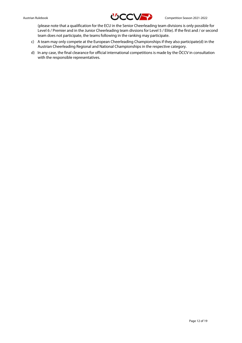

(please note that a qualification for the ECU in the Senior Cheerleading team divisions is only possible for Level 6 / Premier and in the Junior Cheerleading team divsions for Level 5 / Elite). If the first and / or second team does not participate, the teams following in the ranking may participate.

- c) A team may only compete at the European Cheerleading Championships if they also participate(d) in the Austrian Cheerleading Regional and National Championships in the respective category.
- d) In any case, the final clearance for official international competitions is made by the ÖCCV in consultation with the responsible representatives.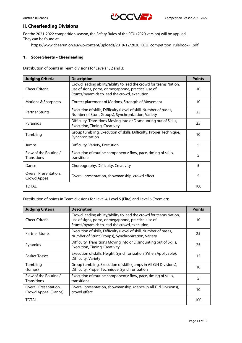

# **II. Cheerleading Divisions**

For the 2021-2022 competition season, the Safety Rules of the ECU (2020 version) will be applied. They can be found at:

https://www.cheerunion.eu/wp-content/uploads/2019/12/2020\_ECU\_competition\_rulebook-1.pdf

#### 1. Score Sheets – Cheerleading

Distribution of points in Team divisions for Levels 1, 2 and 3:

| <b>Judging Criteria</b>                     | <b>Description</b>                                                                                                                                                      | <b>Points</b> |
|---------------------------------------------|-------------------------------------------------------------------------------------------------------------------------------------------------------------------------|---------------|
| <b>Cheer Criteria</b>                       | Crowd leading ability/ability to lead the crowd for teams Nation,<br>use of signs, poms, or megaphone, practical use of<br>Stunts/pyramids to lead the crowd, execution | 10            |
| Motions & Sharpness                         | Correct placement of Motions, Strength of Movement                                                                                                                      | 10            |
| <b>Partner Stunts</b>                       | Execution of skills, Difficulty (Level of skill, Number of bases,<br>Number of Stunt Groups), Synchronization, Variety                                                  | 25            |
| Pyramids                                    | Difficulty, Transitions Moving into or Dismounting out of Skills,<br><b>Execution, Timing, Creativity</b>                                                               | 25            |
| Tumbling                                    | Group tumbling, Execution of skills, Difficulty, Proper Technique,<br>Synchronization                                                                                   | 10            |
| Jumps                                       | Difficulty, Variety, Execution                                                                                                                                          | 5             |
| Flow of the Routine /<br><b>Transitions</b> | Execution of routine components: flow, pace, timing of skills,<br>transitions                                                                                           | 5             |
| Dance                                       | Choreography, Difficulty, Creativity                                                                                                                                    | 5             |
| Overall Presentation,<br>Crowd Appeal       | Overall presentation, showmanship, crowd effect                                                                                                                         | 5             |
| TOTAL                                       |                                                                                                                                                                         | 100           |

Distribution of points in Team divisions for Level 4, Level 5 (Elite) and Level 6 (Premier):

| <b>Judging Criteria</b>                       | <b>Description</b>                                                                                                                                                      | <b>Points</b> |
|-----------------------------------------------|-------------------------------------------------------------------------------------------------------------------------------------------------------------------------|---------------|
| Cheer Criteria                                | Crowd leading ability/ability to lead the crowd for teams Nation,<br>use of signs, poms, or megaphone, practical use of<br>Stunts/pyramids to lead the crowd, execution | 10            |
| <b>Partner Stunts</b>                         | Execution of skills, Difficulty (Level of skill, Number of bases,<br>Number of Stunt Groups), Synchronization, Variety                                                  | 25            |
| Pyramids                                      | Difficulty, Transitions Moving into or Dismounting out of Skills,<br><b>Execution, Timing, Creativity</b>                                                               | 25            |
| <b>Basket Tosses</b>                          | Execution of skills, Height, Synchronization (When Applicable),<br>Difficulty, Variety                                                                                  | 15            |
| Tumbling<br>(Jumps)                           | Group tumbling, Execution of skills (jumps in All Girl Divisions),<br>Difficulty, Proper Technique, Synchronization                                                     | 10            |
| Flow of the Routine /<br><b>Transitions</b>   | Execution of routine components: flow, pace, timing of skills,<br>transitions                                                                                           | 5             |
| Overall Presentation,<br>Crowd Appeal (Dance) | Overall presentation, showmanship, (dance in All Girl Divisions),<br>crowd effect                                                                                       | 10            |
| <b>TOTAL</b>                                  |                                                                                                                                                                         | 100           |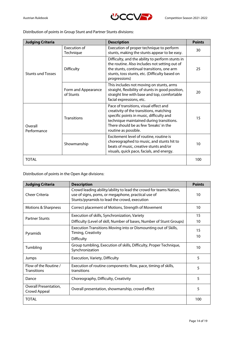



Distribution of points in Group Stunt and Partner Stunts divisions:

| <b>Judging Criteria</b>                                                                 |                     | <b>Description</b>                                                                                                                                                                                                                          | <b>Points</b> |
|-----------------------------------------------------------------------------------------|---------------------|---------------------------------------------------------------------------------------------------------------------------------------------------------------------------------------------------------------------------------------------|---------------|
| Execution of<br>Technique<br><b>Difficulty</b><br><b>Stunts und Tosses</b><br>of Stunts |                     | Execution of proper technique to perform<br>stunts, making the stunts appear to be easy.                                                                                                                                                    | 30            |
|                                                                                         |                     | Difficulty, and the ability to perform stunts in<br>the routine. Also includes not setting out of<br>the stunts, continual transitions, one arm<br>stunts, toss stunts, etc. (Difficulty based on<br>progressions)                          | 25            |
|                                                                                         | Form and Appearance | This includes not moving on stunts, arms<br>straight, flexibility of stunts in good position,<br>straight line with base and top, comfortable<br>facial expressions, etc.                                                                   | 20            |
| Overall<br>Performance                                                                  | <b>Transitions</b>  | Pace of transitions, visual effect and<br>creativity of the transitions, matching<br>specific points in music, difficulty and<br>technique maintained during transitions.<br>There should be as few 'breaks' in the<br>routine as possible. | 15            |
|                                                                                         | Showmanship         | Excitement level of routine, routine is<br>choreographed to music, and stunts hit to<br>beats of music, creative stunts and/or<br>visuals, quick pace, facials, and energy.                                                                 | 10            |
| TOTAL                                                                                   |                     |                                                                                                                                                                                                                                             | 100           |

Distribution of points in the Open Age divisions:

| <b>Judging Criteria</b>                     | <b>Description</b>                                                                                                                                                      | <b>Points</b> |
|---------------------------------------------|-------------------------------------------------------------------------------------------------------------------------------------------------------------------------|---------------|
| <b>Cheer Criteria</b>                       | Crowd leading ability/ability to lead the crowd for teams Nation,<br>use of signs, poms, or megaphone, practical use of<br>Stunts/pyramids to lead the crowd, execution | 10            |
| Motions & Sharpness                         | Correct placement of Motions, Strength of Movement                                                                                                                      | 10            |
| <b>Partner Stunts</b>                       | Execution of skills, Synchronization, Variety                                                                                                                           | 15            |
|                                             | Difficulty (Level of skill, Number of bases, Number of Stunt Groups)                                                                                                    | 10            |
| Pyramids                                    | Execution Transitions Moving into or Dismounting out of Skills,<br>Timing, Creativity                                                                                   | 15            |
|                                             | <b>Difficulty</b>                                                                                                                                                       | 10            |
| Tumbling                                    | Group tumbling, Execution of skills, Difficulty, Proper Technique,<br>Synchronization                                                                                   | 10            |
| Jumps                                       | Execution, Variety, Difficulty                                                                                                                                          | 5             |
| Flow of the Routine /<br><b>Transitions</b> | Execution of routine components: flow, pace, timing of skills,<br>transitions                                                                                           | 5             |
| Dance                                       | Choreography, Difficulty, Creativity                                                                                                                                    | 5             |
| Overall Presentation,<br>Crowd Appeal       | Overall presentation, showmanship, crowd effect                                                                                                                         | 5             |
| TOTAL                                       |                                                                                                                                                                         | 100           |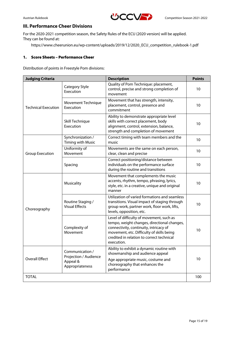

# **III. Performance Cheer Divisions**

For the 2020-2021 competition season, the Safety Rules of the ECU (2020 version) will be applied. They can be found at:

https://www.cheerunion.eu/wp-content/uploads/2019/12/2020\_ECU\_competition\_rulebook-1.pdf

#### 1. Score Sheets – Performance Cheer

Distribution of points in Freestyle Pom divisions:

| <b>Judging Criteria</b>    |                                                                         | <b>Description</b>                                                                                                                                                                                                                        | <b>Points</b> |
|----------------------------|-------------------------------------------------------------------------|-------------------------------------------------------------------------------------------------------------------------------------------------------------------------------------------------------------------------------------------|---------------|
|                            | Category Style<br>Execution                                             | Quality of Pom Technique: placement,<br>control, precise and strong completion of<br>movement                                                                                                                                             | 10            |
| <b>Technical Execution</b> | Movement Technique<br>Execution                                         | Movement that has strength, intensity,<br>placement, control, presence and<br>commitment                                                                                                                                                  | 10            |
|                            | Skill Technique<br>Execution                                            | Ability to demonstrate appropriate level<br>skills with correct placement, body<br>alignment, control, extension, balance,<br>strength and completion of movement                                                                         | 10            |
|                            | Synchronization /<br><b>Timing with Music</b>                           | Correct timing with team members and the<br>music                                                                                                                                                                                         | 10            |
| <b>Group Execution</b>     | Uniformity of<br>Movement                                               | Movements are the same on each person,<br>clear, clean and precise                                                                                                                                                                        | 10            |
|                            | Spacing                                                                 | Correct positioning/distance between<br>individuals on the performance surface<br>during the routine and transitions                                                                                                                      | 10            |
|                            | Musicality                                                              | Movement that complements the music<br>accents, rhythm, tempo, phrasing, lyrics,<br>style, etc. in a creative, unique and original<br>manner                                                                                              | 10            |
| Choreography               | Routine Staging /<br><b>Visual Effects</b>                              | Utilization of varied formations and seamless<br>transitions. Visual impact of staging through<br>group work, partner work, floor work, lifts,<br>levels, opposition, etc.                                                                | 10            |
|                            | Complexity of<br>Movement                                               | Level of difficulty of movement, such as<br>tempo, weight changes, directional changes,<br>connectivity, continuity, intricacy of<br>movement, etc. Difficulty of skills being<br>credited in relation to correct technical<br>execution. | 10            |
| <b>Overall Effect</b>      | Communication /<br>Projection / Audience<br>Appeal &<br>Appropriateness | Ability to exhibit a dynamic routine with<br>showmanship and audience appeal                                                                                                                                                              |               |
|                            |                                                                         | Age appropriate music, costume and<br>choreography that enhances the<br>performance                                                                                                                                                       | 10            |
| <b>TOTAL</b>               |                                                                         |                                                                                                                                                                                                                                           | 100           |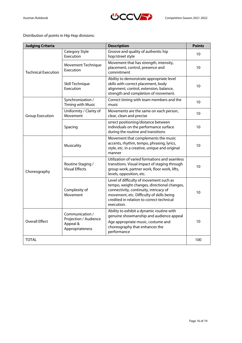

Distribution of points in Hip Hop divisions:

| <b>Judging Criteria</b>    |                                                                         | <b>Description</b>                                                                                                                                                                                                                       | <b>Points</b>    |
|----------------------------|-------------------------------------------------------------------------|------------------------------------------------------------------------------------------------------------------------------------------------------------------------------------------------------------------------------------------|------------------|
|                            | Category Style<br>Execution                                             | Groove and quality of authentic hip<br>hop/street style                                                                                                                                                                                  | 10               |
| <b>Technical Execution</b> | <b>Movement Technique</b><br>Execution                                  | Movement that has strength, intensity,<br>placement, control, presence and<br>commitment                                                                                                                                                 | 10               |
|                            | Skill Technique<br>Execution                                            | Ability to demonstrate appropriate level<br>skills with correct placement, body<br>alignment, control, extension, balance,<br>strength and completion of movement.                                                                       | 10               |
|                            | Synchronization /<br><b>Timing with Music</b>                           | Correct timing with team members and the<br>music                                                                                                                                                                                        | 10               |
| <b>Group Execution</b>     | Uniformity / Clarity of<br>Movement                                     | Movements are the same on each person,<br>clear, clean and precise                                                                                                                                                                       | 10               |
|                            | Spacing                                                                 | orrect positioning/distance between<br>individuals on the performance surface<br>during the routine and transitions                                                                                                                      | 10               |
| Choreography               | Musicality                                                              | Movement that complements the music<br>accents, rhythm, tempo, phrasing, lyrics,<br>style, etc. in a creative, unique and original<br>manner                                                                                             | 10               |
|                            | Routine Staging /<br><b>Visual Effects</b>                              | Utilization of varied formations and seamless<br>transitions. Visual impact of staging through<br>group work, partner work, floor work, lifts,<br>levels, opposition, etc.                                                               | 10               |
|                            | Complexity of<br>Movement                                               | Level of difficulty of movement such as<br>tempo, weight changes, directional changes,<br>connectivity, continuity, intricacy of<br>movement, etc. Difficulty of skills being<br>credited in relation to correct technical<br>execution. | 10 <sup>10</sup> |
| <b>Overall Effect</b>      | Communication /<br>Projection / Audience<br>Appeal &<br>Appropriateness | Ability to exhibit a dynamic routine with<br>genuine showmanship and audience appeal<br>Age appropriate music, costume and<br>choreography that enhances the<br>performance                                                              | 10               |
| <b>TOTAL</b>               |                                                                         |                                                                                                                                                                                                                                          | 100              |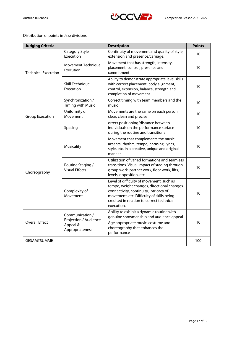

# Distribution of points in Jazz divisions:

| <b>Judging Criteria</b>    |                                                                         | <b>Description</b>                                                                                                                                                                                                                        | <b>Points</b> |
|----------------------------|-------------------------------------------------------------------------|-------------------------------------------------------------------------------------------------------------------------------------------------------------------------------------------------------------------------------------------|---------------|
|                            | Category Style<br>Execution                                             | Continuity of movement and quality of style,<br>extension and presence/carriage.                                                                                                                                                          | 10            |
| <b>Technical Execution</b> | Movement Technique<br>Execution                                         | Movement that has strength, intensity,<br>placement, control, presence and<br>commitment                                                                                                                                                  | 10            |
|                            | Skill Technique<br>Execution                                            | Ability to demonstrate appropriate level skills<br>with correct placement, body alignment,<br>control, extension, balance, strength and<br>completion of movement                                                                         | 10            |
|                            | Synchronization /<br><b>Timing with Music</b>                           | Correct timing with team members and the<br>music                                                                                                                                                                                         | 10            |
| <b>Group Execution</b>     | Uniformity of<br>Movement                                               | Movements are the same on each person,<br>clear, clean and precise                                                                                                                                                                        | 10            |
| Spacing                    |                                                                         | orrect positioning/distance between<br>individuals on the performance surface<br>during the routine and transitions                                                                                                                       | 10            |
| Choreography               | Musicality                                                              | Movement that complements the music<br>accents, rhythm, tempo, phrasing, lyrics,<br>style, etc. in a creative, unique and original<br>manner                                                                                              | 10            |
|                            | Routine Staging /<br><b>Visual Effects</b>                              | Utilization of varied formations and seamless<br>transitions. Visual impact of staging through<br>group work, partner work, floor work, lifts,<br>levels, opposition, etc.                                                                | 10            |
|                            | Complexity of<br>Movement                                               | Level of difficulty of movement, such as<br>tempo, weight changes, directional changes,<br>connectivity, continuity, intricacy of<br>movement, etc. Difficulty of skills being<br>credited in relation to correct technical<br>execution. | 10            |
| <b>Overall Effect</b>      | Communication /<br>Projection / Audience<br>Appeal &<br>Appropriateness | Ability to exhibit a dynamic routine with<br>genuine showmanship and audience appeal<br>Age appropriate music, costume and<br>choreography that enhances the<br>performance                                                               | 10            |
| <b>GESAMTSUMME</b>         |                                                                         |                                                                                                                                                                                                                                           | 100           |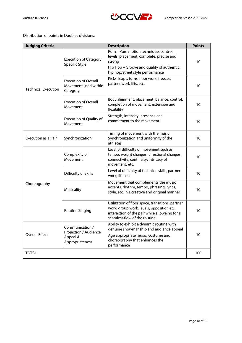

Distribution of points in Doubles divisions:

| <b>Judging Criteria</b>    |                                                                         | <b>Description</b>                                                                                                                                                             | <b>Points</b> |
|----------------------------|-------------------------------------------------------------------------|--------------------------------------------------------------------------------------------------------------------------------------------------------------------------------|---------------|
|                            | <b>Execution of Category</b><br>Specific Style                          | Pom - Pom motion technique; control,<br>levels, placement, complete, precise and<br>strong<br>Hip Hop - Groove and quality of authentic<br>hip hop/street style performance    | 10            |
| <b>Technical Execution</b> | <b>Execution of Overall</b><br>Movement used within<br>Category         | Kicks, leaps, turns, floor work, freezes,<br>partner work lifts, etc.                                                                                                          | 10            |
|                            | <b>Execution of Overall</b><br>Movement                                 | Body alignment, placement, balance, control,<br>completion of movement, extension and<br>flexibility                                                                           | 10            |
|                            | <b>Execution of Quality of</b><br>Movement                              | Strength, intensity, presence and<br>commitment to the movement                                                                                                                | 10            |
| Execution as a Pair        | Synchronization                                                         | Timing of movement with the music<br>Synchronization and uniformity of the<br>athletes                                                                                         | 10            |
|                            | Complexity of<br>Movement                                               | Level of difficulty of movement such as<br>tempo, weight changes, directional changes,<br>connectivity, continuity, intricacy of<br>movement, etc.                             | 10            |
|                            | Difficulty of Skills                                                    | Level of difficulty of technical skills, partner<br>work, lifts etc.                                                                                                           | 10            |
| Choreography               | Musicality                                                              | Movement that complements the music<br>accents, rhythm, tempo, phrasing, lyrics,<br>style, etc. in a creative and original manner                                              | 10            |
|                            | Routine Staging                                                         | Utilization of floor space, transitions, partner<br>work, group work, levels, opposition etc.<br>interaction of the pair while alloweing for a<br>seamless flow of the routine | 10            |
| <b>Overall Effect</b>      | Communication /<br>Projection / Audience<br>Appeal &<br>Appropriateness | Ability to exhibit a dynamic routine with<br>genuine showmanship and audience appeal<br>Age appropriate music, costume and<br>choreography that enhances the<br>performance    | 10            |
| <b>TOTAL</b>               |                                                                         |                                                                                                                                                                                | 100           |